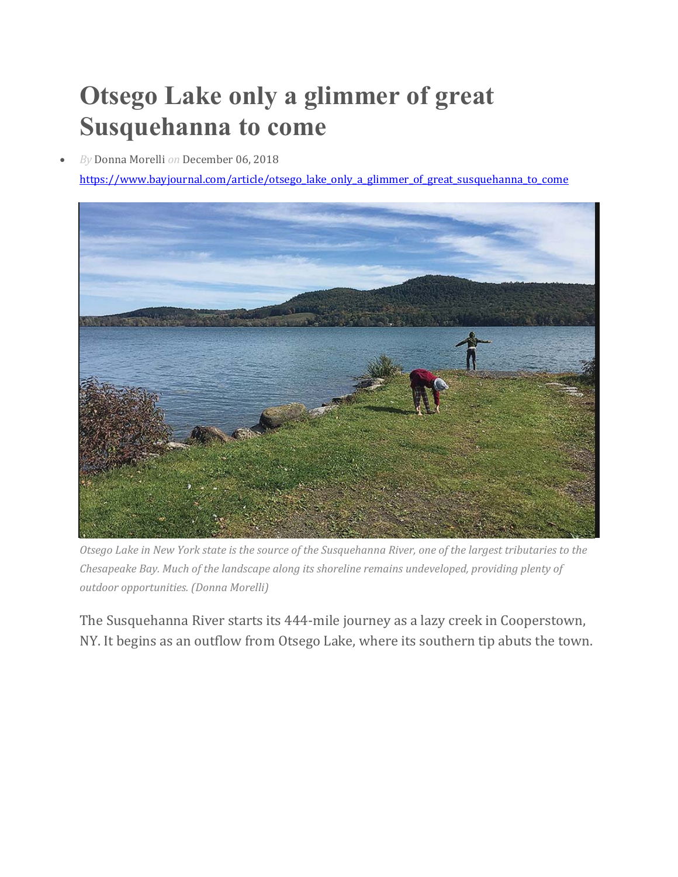## **Otsego Lake only a glimmer of great Susquehanna to come**

*By* Donna Morelli *on* December 06, 2018

https://www.bayjournal.com/article/otsego\_lake\_only\_a\_glimmer\_of\_great\_susquehanna\_to\_come



Otsego Lake in New York state is the source of the Susquehanna River, one of the largest tributaries to the *Chesapeake Bay. Much of the landscape along its shoreline remains undeveloped, providing plenty of outdoor opportunities. (Donna Morelli)*

The Susquehanna River starts its 444-mile journey as a lazy creek in Cooperstown, NY. It begins as an outflow from Otsego Lake, where its southern tip abuts the town.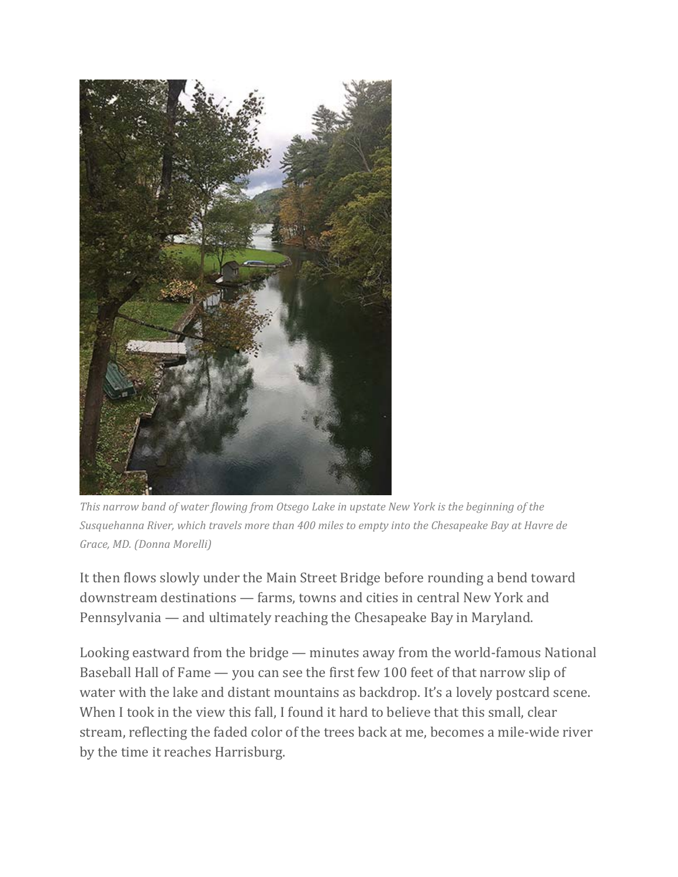

*This narrow band of water flowing from Otsego Lake in upstate New York is the beginning of the Susquehanna River, which travels more than 400 miles to empty into the Chesapeake Bay at Havre de Grace, MD. (Donna Morelli)*

It then flows slowly under the Main Street Bridge before rounding a bend toward downstream destinations — farms, towns and cities in central New York and Pennsylvania — and ultimately reaching the Chesapeake Bay in Maryland.

Looking eastward from the bridge — minutes away from the world-famous National Baseball Hall of Fame — you can see the first few 100 feet of that narrow slip of water with the lake and distant mountains as backdrop. It's a lovely postcard scene. When I took in the view this fall, I found it hard to believe that this small, clear stream, reflecting the faded color of the trees back at me, becomes a mile-wide river by the time it reaches Harrisburg.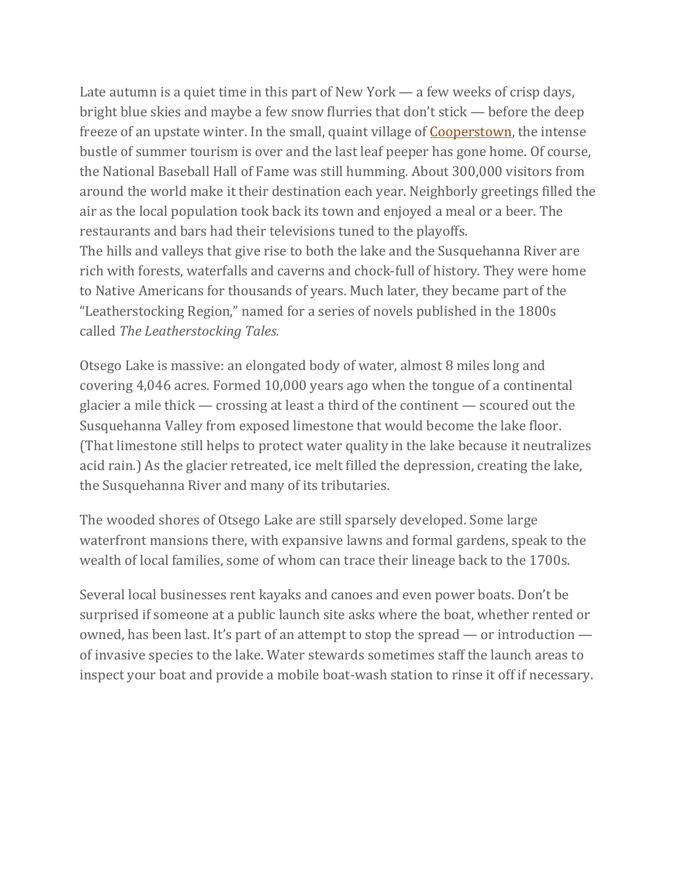Late autumn is a quiet time in this part of New York — a few weeks of crisp days, bright blue skies and maybe a few snow flurries that don't stick — before the deep freeze of an upstate winter. In the small, quaint village of **Cooperstown**, the intense bustle of summer tourism is over and the last leaf peeper has gone home. Of course, the National Baseball Hall of Fame was still humming. About 300,000 visitors from around the world make it their destination each year. Neighborly greetings filled the air as the local population took back its town and enjoyed a meal or a beer. The restaurants and bars had their televisions tuned to the playoffs. The hills and valleys that give rise to both the lake and the Susquehanna River are rich with forests, waterfalls and caverns and chock-full of history. They were home to Native Americans for thousands of years. Much later, they became part of the "Leatherstocking Region," named for a series of novels published in the 1800s called *The Leatherstocking Tales.*

Otsego Lake is massive: an elongated body of water, almost 8 miles long and covering 4,046 acres. Formed 10,000 years ago when the tongue of a continental glacier a mile thick — crossing at least a third of the continent — scoured out the Susquehanna Valley from exposed limestone that would become the lake floor. (That limestone still helps to protect water quality in the lake because it neutralizes acid rain.) As the glacier retreated, ice melt filled the depression, creating the lake, the Susquehanna River and many of its tributaries.

The wooded shores of Otsego Lake are still sparsely developed. Some large waterfront mansions there, with expansive lawns and formal gardens, speak to the wealth of local families, some of whom can trace their lineage back to the 1700s.

Several local businesses rent kayaks and canoes and even power boats. Don't be surprised if someone at a public launch site asks where the boat, whether rented or owned, has been last. It's part of an attempt to stop the spread — or introduction of invasive species to the lake. Water stewards sometimes staff the launch areas to inspect your boat and provide a mobile boat-wash station to rinse it off if necessary.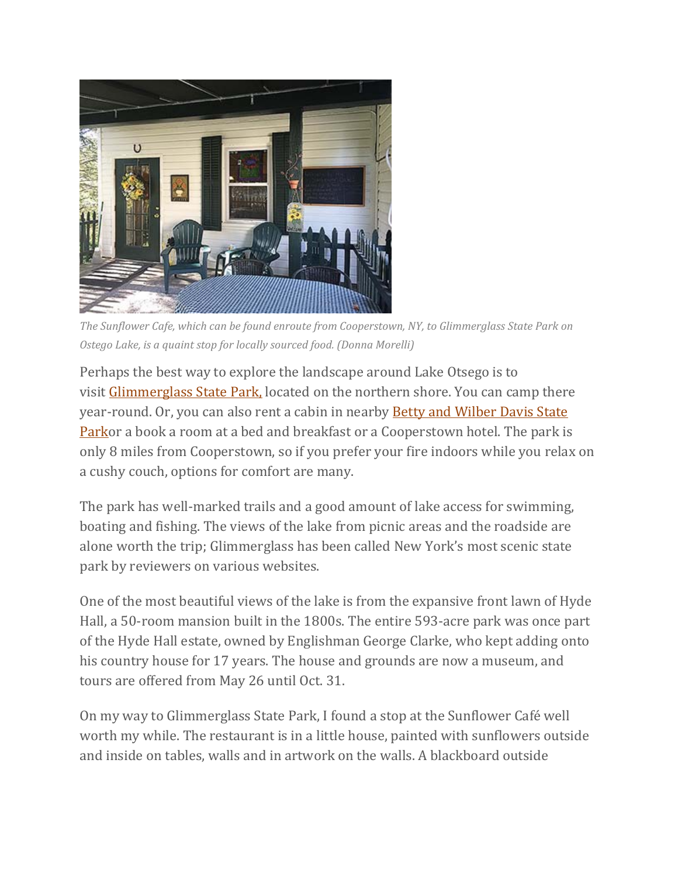

*The Sunflower Cafe, which can be found enroute from Cooperstown, NY, to Glimmerglass State Park on Ostego Lake, is a quaint stop for locally sourced food. (Donna Morelli)*

Perhaps the best way to explore the landscape around Lake Otsego is to visit Glimmerglass State Park, located on the northern shore. You can camp there year-round. Or, you can also rent a cabin in nearby **Betty and Wilber Davis State** Parkor a book a room at a bed and breakfast or a Cooperstown hotel. The park is only 8 miles from Cooperstown, so if you prefer your fire indoors while you relax on a cushy couch, options for comfort are many.

The park has well-marked trails and a good amount of lake access for swimming, boating and fishing. The views of the lake from picnic areas and the roadside are alone worth the trip; Glimmerglass has been called New York's most scenic state park by reviewers on various websites.

One of the most beautiful views of the lake is from the expansive front lawn of Hyde Hall, a 50-room mansion built in the 1800s. The entire 593-acre park was once part of the Hyde Hall estate, owned by Englishman George Clarke, who kept adding onto his country house for 17 years. The house and grounds are now a museum, and tours are offered from May 26 until Oct. 31.

On my way to Glimmerglass State Park, I found a stop at the Sunflower Café well worth my while. The restaurant is in a little house, painted with sunflowers outside and inside on tables, walls and in artwork on the walls. A blackboard outside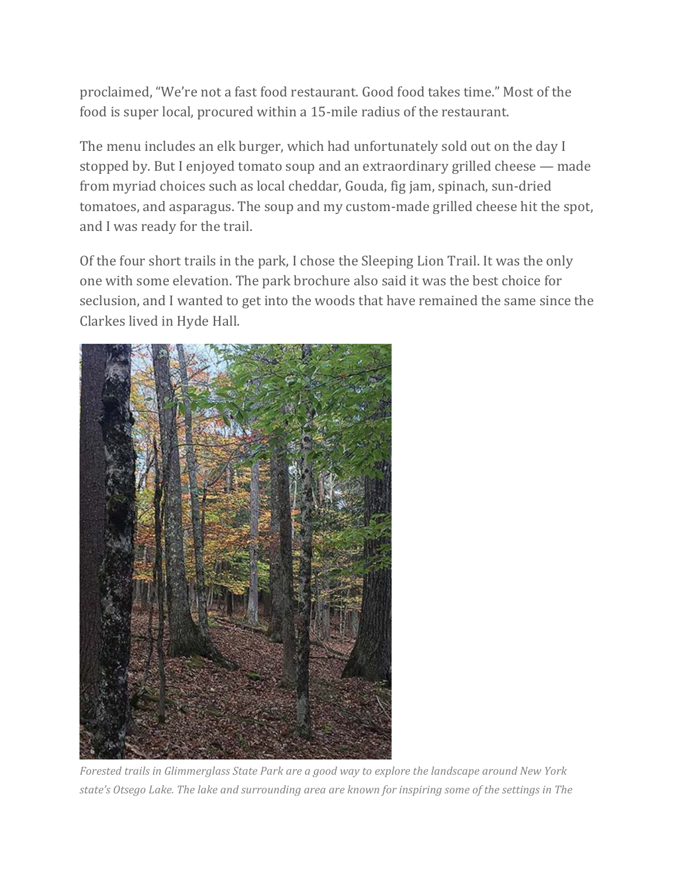proclaimed, "We're not a fast food restaurant. Good food takes time." Most of the food is super local, procured within a 15-mile radius of the restaurant.

The menu includes an elk burger, which had unfortunately sold out on the day I stopped by. But I enjoyed tomato soup and an extraordinary grilled cheese — made from myriad choices such as local cheddar, Gouda, fig jam, spinach, sun-dried tomatoes, and asparagus. The soup and my custom-made grilled cheese hit the spot, and I was ready for the trail.

Of the four short trails in the park, I chose the Sleeping Lion Trail. It was the only one with some elevation. The park brochure also said it was the best choice for seclusion, and I wanted to get into the woods that have remained the same since the Clarkes lived in Hyde Hall.



*Forested trails in Glimmerglass State Park are a good way to explore the landscape around New York* state's Otsego Lake. The lake and surrounding area are known for inspiring some of the settings in The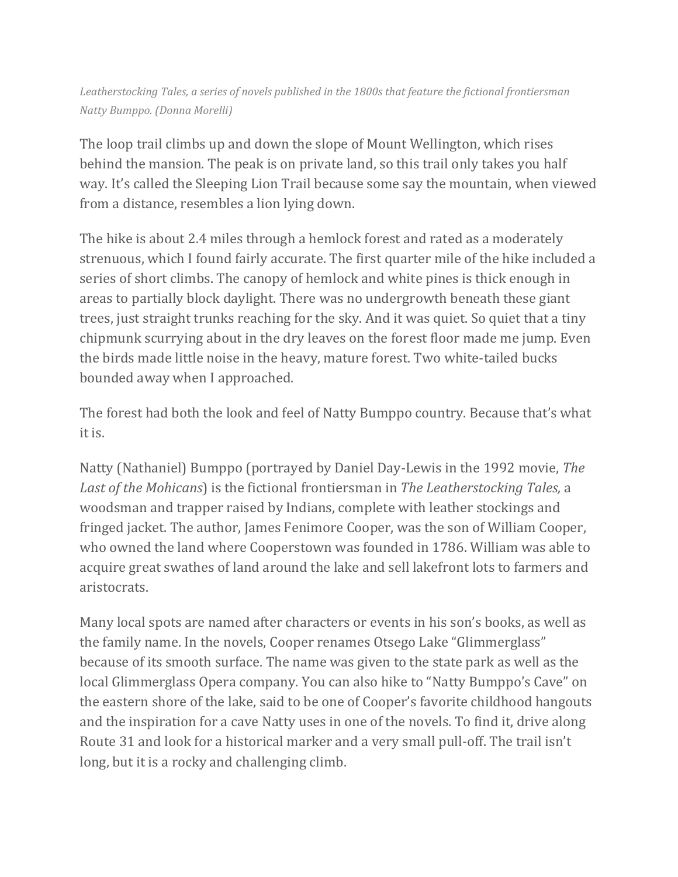*Leatherstocking Tales, a series of novels published in the 1800s that feature the fictional frontiersman Natty Bumppo. (Donna Morelli)*

The loop trail climbs up and down the slope of Mount Wellington, which rises behind the mansion. The peak is on private land, so this trail only takes you half way. It's called the Sleeping Lion Trail because some say the mountain, when viewed from a distance, resembles a lion lying down.

The hike is about 2.4 miles through a hemlock forest and rated as a moderately strenuous, which I found fairly accurate. The first quarter mile of the hike included a series of short climbs. The canopy of hemlock and white pines is thick enough in areas to partially block daylight. There was no undergrowth beneath these giant trees, just straight trunks reaching for the sky. And it was quiet. So quiet that a tiny chipmunk scurrying about in the dry leaves on the forest floor made me jump. Even the birds made little noise in the heavy, mature forest. Two white-tailed bucks bounded away when I approached.

The forest had both the look and feel of Natty Bumppo country. Because that's what it is.

Natty (Nathaniel) Bumppo (portrayed by Daniel Day-Lewis in the 1992 movie, *The Last of the Mohicans*) is the fictional frontiersman in *The Leatherstocking Tales,* a woodsman and trapper raised by Indians, complete with leather stockings and fringed jacket. The author, James Fenimore Cooper, was the son of William Cooper, who owned the land where Cooperstown was founded in 1786. William was able to acquire great swathes of land around the lake and sell lakefront lots to farmers and aristocrats.

Many local spots are named after characters or events in his son's books, as well as the family name. In the novels, Cooper renames Otsego Lake "Glimmerglass" because of its smooth surface. The name was given to the state park as well as the local Glimmerglass Opera company. You can also hike to "Natty Bumppo's Cave" on the eastern shore of the lake, said to be one of Cooper's favorite childhood hangouts and the inspiration for a cave Natty uses in one of the novels. To find it, drive along Route 31 and look for a historical marker and a very small pull-off. The trail isn't long, but it is a rocky and challenging climb.